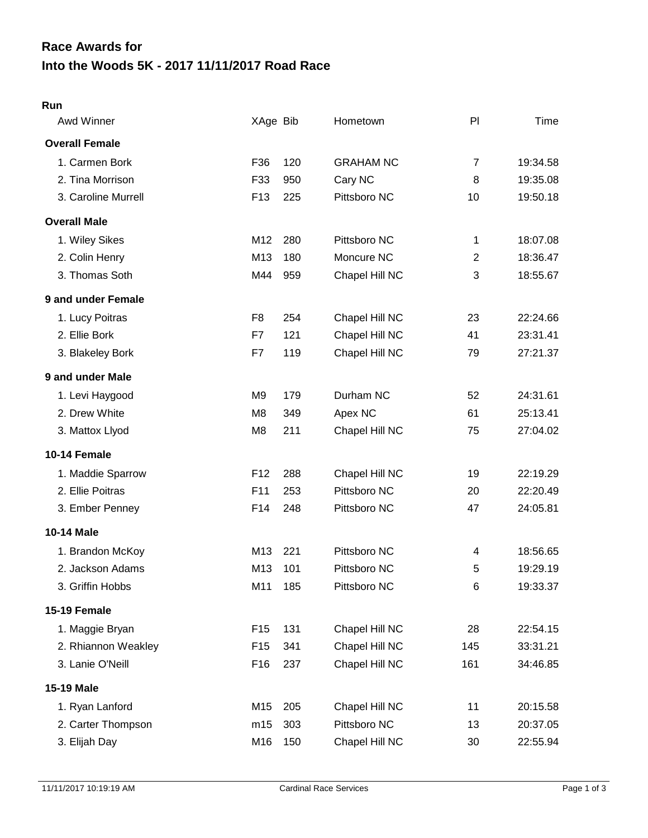# **Into the Woods 5K - 2017 11/11/2017 Road Race Race Awards for**

#### **Run**

| Awd Winner            | XAge Bib        |     | Hometown         | P              | Time     |
|-----------------------|-----------------|-----|------------------|----------------|----------|
| <b>Overall Female</b> |                 |     |                  |                |          |
| 1. Carmen Bork        | F36             | 120 | <b>GRAHAM NC</b> | $\overline{7}$ | 19:34.58 |
| 2. Tina Morrison      | F33             | 950 | Cary NC          | 8              | 19:35.08 |
| 3. Caroline Murrell   | F <sub>13</sub> | 225 | Pittsboro NC     | 10             | 19:50.18 |
| <b>Overall Male</b>   |                 |     |                  |                |          |
| 1. Wiley Sikes        | M12             | 280 | Pittsboro NC     | 1              | 18:07.08 |
| 2. Colin Henry        | M13             | 180 | Moncure NC       | $\overline{2}$ | 18:36.47 |
| 3. Thomas Soth        | M44             | 959 | Chapel Hill NC   | 3              | 18:55.67 |
| 9 and under Female    |                 |     |                  |                |          |
| 1. Lucy Poitras       | F <sub>8</sub>  | 254 | Chapel Hill NC   | 23             | 22:24.66 |
| 2. Ellie Bork         | F7              | 121 | Chapel Hill NC   | 41             | 23:31.41 |
| 3. Blakeley Bork      | F7              | 119 | Chapel Hill NC   | 79             | 27:21.37 |
| 9 and under Male      |                 |     |                  |                |          |
| 1. Levi Haygood       | M9              | 179 | Durham NC        | 52             | 24:31.61 |
| 2. Drew White         | M8              | 349 | Apex NC          | 61             | 25:13.41 |
| 3. Mattox Llyod       | M8              | 211 | Chapel Hill NC   | 75             | 27:04.02 |
| 10-14 Female          |                 |     |                  |                |          |
| 1. Maddie Sparrow     | F <sub>12</sub> | 288 | Chapel Hill NC   | 19             | 22:19.29 |
| 2. Ellie Poitras      | F11             | 253 | Pittsboro NC     | 20             | 22:20.49 |
| 3. Ember Penney       | F14             | 248 | Pittsboro NC     | 47             | 24:05.81 |
| 10-14 Male            |                 |     |                  |                |          |
| 1. Brandon McKoy      | M13             | 221 | Pittsboro NC     | 4              | 18:56.65 |
| 2. Jackson Adams      | M13             | 101 | Pittsboro NC     | 5              | 19:29.19 |
| 3. Griffin Hobbs      | M11             | 185 | Pittsboro NC     | 6              | 19:33.37 |
| 15-19 Female          |                 |     |                  |                |          |
| 1. Maggie Bryan       | F <sub>15</sub> | 131 | Chapel Hill NC   | 28             | 22:54.15 |
| 2. Rhiannon Weakley   | F <sub>15</sub> | 341 | Chapel Hill NC   | 145            | 33:31.21 |
| 3. Lanie O'Neill      | F <sub>16</sub> | 237 | Chapel Hill NC   | 161            | 34:46.85 |
| 15-19 Male            |                 |     |                  |                |          |
| 1. Ryan Lanford       | M15             | 205 | Chapel Hill NC   | 11             | 20:15.58 |
| 2. Carter Thompson    | m15             | 303 | Pittsboro NC     | 13             | 20:37.05 |
| 3. Elijah Day         | M16             | 150 | Chapel Hill NC   | 30             | 22:55.94 |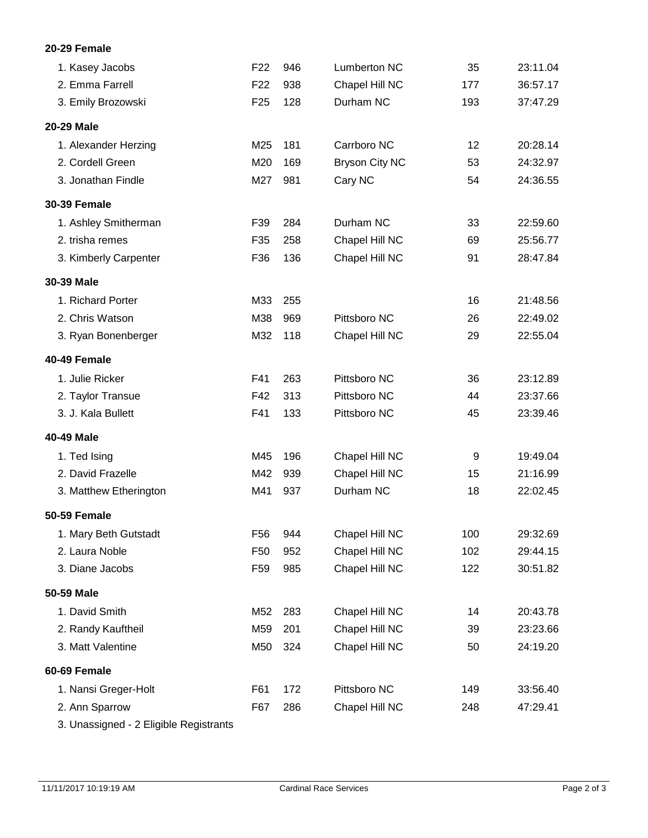## **20-29 Female**

| 1. Kasey Jacobs        | F <sub>22</sub> | 946 | Lumberton NC          | 35  | 23:11.04 |
|------------------------|-----------------|-----|-----------------------|-----|----------|
| 2. Emma Farrell        | F <sub>22</sub> | 938 | Chapel Hill NC        | 177 | 36:57.17 |
| 3. Emily Brozowski     | F <sub>25</sub> | 128 | Durham NC             | 193 | 37:47.29 |
| 20-29 Male             |                 |     |                       |     |          |
| 1. Alexander Herzing   | M25             | 181 | Carrboro NC           | 12  | 20:28.14 |
| 2. Cordell Green       | M20             | 169 | <b>Bryson City NC</b> | 53  | 24:32.97 |
| 3. Jonathan Findle     | M27             | 981 | Cary NC               | 54  | 24:36.55 |
| <b>30-39 Female</b>    |                 |     |                       |     |          |
| 1. Ashley Smitherman   | F39             | 284 | Durham NC             | 33  | 22:59.60 |
| 2. trisha remes        | F35             | 258 | Chapel Hill NC        | 69  | 25:56.77 |
| 3. Kimberly Carpenter  | F36             | 136 | Chapel Hill NC        | 91  | 28:47.84 |
| 30-39 Male             |                 |     |                       |     |          |
| 1. Richard Porter      | M33             | 255 |                       | 16  | 21:48.56 |
| 2. Chris Watson        | M38             | 969 | Pittsboro NC          | 26  | 22:49.02 |
| 3. Ryan Bonenberger    | M32             | 118 | Chapel Hill NC        | 29  | 22:55.04 |
| 40-49 Female           |                 |     |                       |     |          |
| 1. Julie Ricker        | F41             | 263 | Pittsboro NC          | 36  | 23:12.89 |
| 2. Taylor Transue      | F42             | 313 | Pittsboro NC          | 44  | 23:37.66 |
| 3. J. Kala Bullett     | F41             | 133 | Pittsboro NC          | 45  | 23:39.46 |
| 40-49 Male             |                 |     |                       |     |          |
| 1. Ted Ising           | M45             | 196 | Chapel Hill NC        | 9   | 19:49.04 |
| 2. David Frazelle      | M42             | 939 | Chapel Hill NC        | 15  | 21:16.99 |
| 3. Matthew Etherington | M41             | 937 | Durham NC             | 18  | 22:02.45 |
| <b>50-59 Female</b>    |                 |     |                       |     |          |
| 1. Mary Beth Gutstadt  | F56             | 944 | Chapel Hill NC        | 100 | 29:32.69 |
| 2. Laura Noble         | F <sub>50</sub> | 952 | Chapel Hill NC        | 102 | 29:44.15 |
| 3. Diane Jacobs        | F <sub>59</sub> | 985 | Chapel Hill NC        | 122 | 30:51.82 |
| 50-59 Male             |                 |     |                       |     |          |
| 1. David Smith         | M52             | 283 | Chapel Hill NC        | 14  | 20:43.78 |
| 2. Randy Kauftheil     | M59             | 201 | Chapel Hill NC        | 39  | 23:23.66 |
| 3. Matt Valentine      | M50             | 324 | Chapel Hill NC        | 50  | 24:19.20 |
| 60-69 Female           |                 |     |                       |     |          |
| 1. Nansi Greger-Holt   | F61             | 172 | Pittsboro NC          | 149 | 33:56.40 |
| 2. Ann Sparrow         | F67             | 286 | Chapel Hill NC        | 248 | 47:29.41 |
|                        |                 |     |                       |     |          |

3. Unassigned - 2 Eligible Registrants